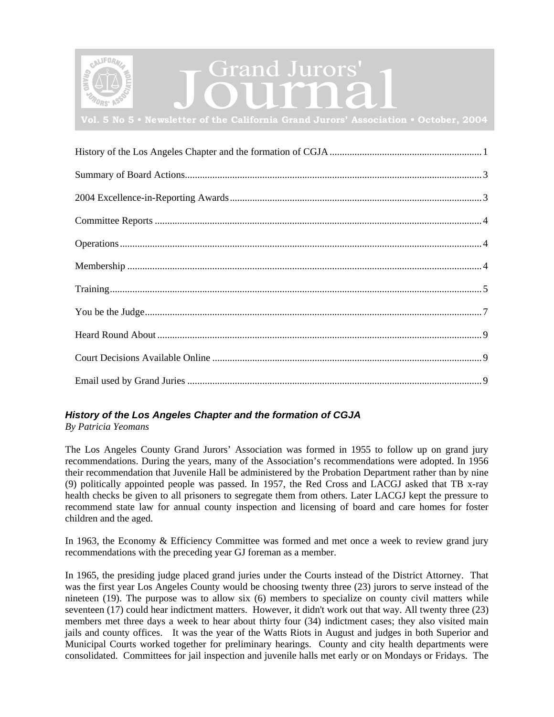<span id="page-0-0"></span>

# Grand Jurors'

**Vol. 5 No 5 • Newsletter of the California Grand Jurors' Association • October, 2004**

| $\begin{minip} \begin{minipage}[c]{0.5\textwidth} \centering \centering \textbf{Training} \end{minipage}[t] \begin{minipage}[c]{0.5\textwidth} \centering \centering \textbf{String} \end{minipage}[t] \begin{minipage}[c]{0.5\textwidth} \centering \centering \textbf{String} \end{minipage}[t] \begin{minipage}[c]{0.5\textwidth} \centering \centering \textbf{String} \end{minipage}[t] \begin{minipage}[c]{0.5\textwidth} \centering \centering \textbf{String} \end{minipage}[t] \begin{minipage}[c]{0.5\textwidth} \centering \centering \textbf{String} \$ |
|---------------------------------------------------------------------------------------------------------------------------------------------------------------------------------------------------------------------------------------------------------------------------------------------------------------------------------------------------------------------------------------------------------------------------------------------------------------------------------------------------------------------------------------------------------------------|
|                                                                                                                                                                                                                                                                                                                                                                                                                                                                                                                                                                     |
|                                                                                                                                                                                                                                                                                                                                                                                                                                                                                                                                                                     |
|                                                                                                                                                                                                                                                                                                                                                                                                                                                                                                                                                                     |
|                                                                                                                                                                                                                                                                                                                                                                                                                                                                                                                                                                     |

# *History of the Los Angeles Chapter and the formation of CGJA*

*By Patricia Yeomans* 

The Los Angeles County Grand Jurors' Association was formed in 1955 to follow up on grand jury recommendations. During the years, many of the Association's recommendations were adopted. In 1956 their recommendation that Juvenile Hall be administered by the Probation Department rather than by nine (9) politically appointed people was passed. In 1957, the Red Cross and LACGJ asked that TB x-ray health checks be given to all prisoners to segregate them from others. Later LACGJ kept the pressure to recommend state law for annual county inspection and licensing of board and care homes for foster children and the aged.

In 1963, the Economy & Efficiency Committee was formed and met once a week to review grand jury recommendations with the preceding year GJ foreman as a member.

In 1965, the presiding judge placed grand juries under the Courts instead of the District Attorney. That was the first year Los Angeles County would be choosing twenty three (23) jurors to serve instead of the nineteen (19). The purpose was to allow six (6) members to specialize on county civil matters while seventeen (17) could hear indictment matters. However, it didn't work out that way. All twenty three (23) members met three days a week to hear about thirty four (34) indictment cases; they also visited main jails and county offices. It was the year of the Watts Riots in August and judges in both Superior and Municipal Courts worked together for preliminary hearings. County and city health departments were consolidated. Committees for jail inspection and juvenile halls met early or on Mondays or Fridays. The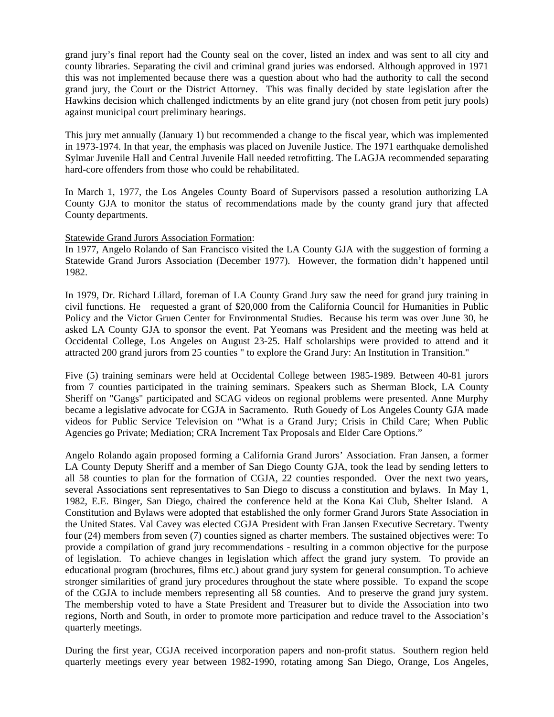grand jury's final report had the County seal on the cover, listed an index and was sent to all city and county libraries. Separating the civil and criminal grand juries was endorsed. Although approved in 1971 this was not implemented because there was a question about who had the authority to call the second grand jury, the Court or the District Attorney. This was finally decided by state legislation after the Hawkins decision which challenged indictments by an elite grand jury (not chosen from petit jury pools) against municipal court preliminary hearings.

This jury met annually (January 1) but recommended a change to the fiscal year, which was implemented in 1973-1974. In that year, the emphasis was placed on Juvenile Justice. The 1971 earthquake demolished Sylmar Juvenile Hall and Central Juvenile Hall needed retrofitting. The LAGJA recommended separating hard-core offenders from those who could be rehabilitated.

In March 1, 1977, the Los Angeles County Board of Supervisors passed a resolution authorizing LA County GJA to monitor the status of recommendations made by the county grand jury that affected County departments.

Statewide Grand Jurors Association Formation:

In 1977, Angelo Rolando of San Francisco visited the LA County GJA with the suggestion of forming a Statewide Grand Jurors Association (December 1977). However, the formation didn't happened until 1982.

In 1979, Dr. Richard Lillard, foreman of LA County Grand Jury saw the need for grand jury training in civil functions. He requested a grant of \$20,000 from the California Council for Humanities in Public Policy and the Victor Gruen Center for Environmental Studies. Because his term was over June 30, he asked LA County GJA to sponsor the event. Pat Yeomans was President and the meeting was held at Occidental College, Los Angeles on August 23-25. Half scholarships were provided to attend and it attracted 200 grand jurors from 25 counties " to explore the Grand Jury: An Institution in Transition."

Five (5) training seminars were held at Occidental College between 1985-1989. Between 40-81 jurors from 7 counties participated in the training seminars. Speakers such as Sherman Block, LA County Sheriff on "Gangs" participated and SCAG videos on regional problems were presented. Anne Murphy became a legislative advocate for CGJA in Sacramento. Ruth Gouedy of Los Angeles County GJA made videos for Public Service Television on "What is a Grand Jury; Crisis in Child Care; When Public Agencies go Private; Mediation; CRA Increment Tax Proposals and Elder Care Options."

Angelo Rolando again proposed forming a California Grand Jurors' Association. Fran Jansen, a former LA County Deputy Sheriff and a member of San Diego County GJA, took the lead by sending letters to all 58 counties to plan for the formation of CGJA, 22 counties responded. Over the next two years, several Associations sent representatives to San Diego to discuss a constitution and bylaws. In May 1, 1982, E.E. Binger, San Diego, chaired the conference held at the Kona Kai Club, Shelter Island. A Constitution and Bylaws were adopted that established the only former Grand Jurors State Association in the United States. Val Cavey was elected CGJA President with Fran Jansen Executive Secretary. Twenty four (24) members from seven (7) counties signed as charter members. The sustained objectives were: To provide a compilation of grand jury recommendations - resulting in a common objective for the purpose of legislation. To achieve changes in legislation which affect the grand jury system. To provide an educational program (brochures, films etc.) about grand jury system for general consumption. To achieve stronger similarities of grand jury procedures throughout the state where possible. To expand the scope of the CGJA to include members representing all 58 counties. And to preserve the grand jury system. The membership voted to have a State President and Treasurer but to divide the Association into two regions, North and South, in order to promote more participation and reduce travel to the Association's quarterly meetings.

During the first year, CGJA received incorporation papers and non-profit status. Southern region held quarterly meetings every year between 1982-1990, rotating among San Diego, Orange, Los Angeles,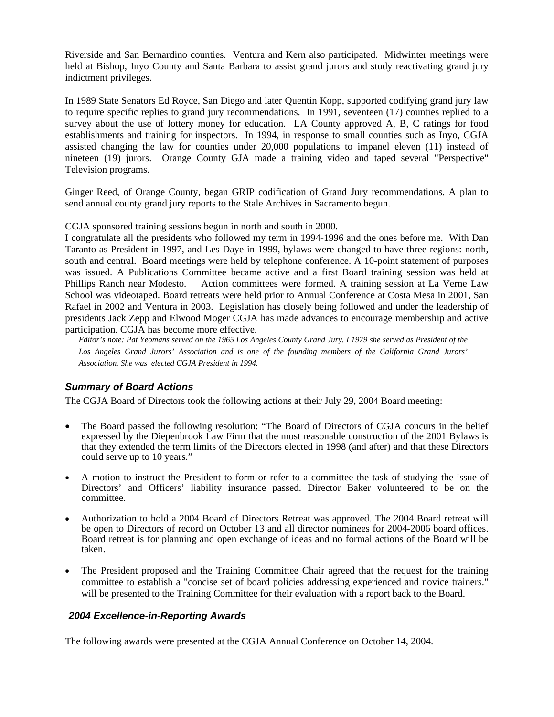<span id="page-2-0"></span>Riverside and San Bernardino counties. Ventura and Kern also participated. Midwinter meetings were held at Bishop, Inyo County and Santa Barbara to assist grand jurors and study reactivating grand jury indictment privileges.

In 1989 State Senators Ed Royce, San Diego and later Quentin Kopp, supported codifying grand jury law to require specific replies to grand jury recommendations. In 1991, seventeen (17) counties replied to a survey about the use of lottery money for education. LA County approved A, B, C ratings for food establishments and training for inspectors. In 1994, in response to small counties such as Inyo, CGJA assisted changing the law for counties under 20,000 populations to impanel eleven (11) instead of nineteen (19) jurors. Orange County GJA made a training video and taped several "Perspective" Television programs.

Ginger Reed, of Orange County, began GRIP codification of Grand Jury recommendations. A plan to send annual county grand jury reports to the Stale Archives in Sacramento begun.

CGJA sponsored training sessions begun in north and south in 2000.

I congratulate all the presidents who followed my term in 1994-1996 and the ones before me. With Dan Taranto as President in 1997, and Les Daye in 1999, bylaws were changed to have three regions: north, south and central. Board meetings were held by telephone conference. A 10-point statement of purposes was issued. A Publications Committee became active and a first Board training session was held at Phillips Ranch near Modesto. Action committees were formed. A training session at La Verne Law School was videotaped. Board retreats were held prior to Annual Conference at Costa Mesa in 2001, San Rafael in 2002 and Ventura in 2003. Legislation has closely being followed and under the leadership of presidents Jack Zepp and Elwood Moger CGJA has made advances to encourage membership and active participation. CGJA has become more effective.

*Editor's note: Pat Yeomans served on the 1965 Los Angeles County Grand Jury. I 1979 she served as President of the Los Angeles Grand Jurors' Association and is one of the founding members of the California Grand Jurors' Association. She was elected CGJA President in 1994.* 

# *Summary of Board Actions*

The CGJA Board of Directors took the following actions at their July 29, 2004 Board meeting:

- The Board passed the following resolution: "The Board of Directors of CGJA concurs in the belief expressed by the Diepenbrook Law Firm that the most reasonable construction of the 2001 Bylaws is that they extended the term limits of the Directors elected in 1998 (and after) and that these Directors could serve up to 10 years."
- A motion to instruct the President to form or refer to a committee the task of studying the issue of Directors' and Officers' liability insurance passed. Director Baker volunteered to be on the committee.
- Authorization to hold a 2004 Board of Directors Retreat was approved. The 2004 Board retreat will be open to Directors of record on October 13 and all director nominees for 2004-2006 board offices. Board retreat is for planning and open exchange of ideas and no formal actions of the Board will be taken.
- The President proposed and the Training Committee Chair agreed that the request for the training committee to establish a "concise set of board policies addressing experienced and novice trainers." will be presented to the Training Committee for their evaluation with a report back to the Board.

## *2004 Excellence-in-Reporting Awards*

The following awards were presented at the CGJA Annual Conference on October 14, 2004.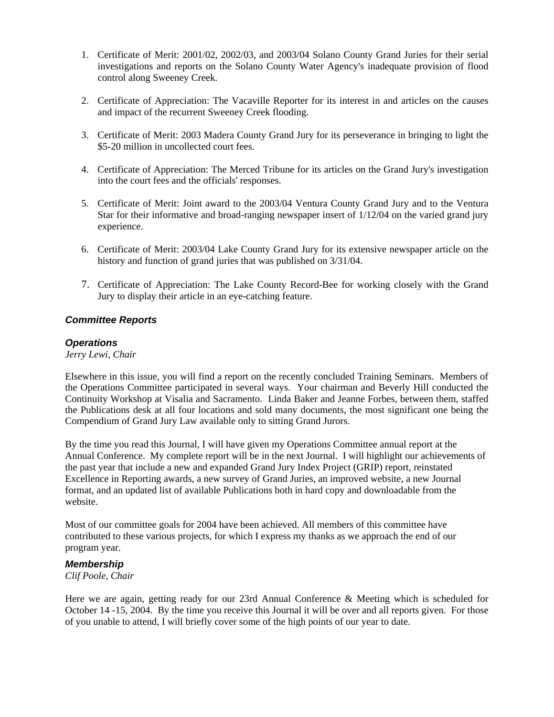- <span id="page-3-0"></span>1. Certificate of Merit: 2001/02, 2002/03, and 2003/04 Solano County Grand Juries for their serial investigations and reports on the Solano County Water Agency's inadequate provision of flood control along Sweeney Creek.
- 2. Certificate of Appreciation: The Vacaville Reporter for its interest in and articles on the causes and impact of the recurrent Sweeney Creek flooding.
- 3. Certificate of Merit: 2003 Madera County Grand Jury for its perseverance in bringing to light the \$5-20 million in uncollected court fees.
- 4. Certificate of Appreciation: The Merced Tribune for its articles on the Grand Jury's investigation into the court fees and the officials' responses.
- 5. Certificate of Merit: Joint award to the 2003/04 Ventura County Grand Jury and to the Ventura Star for their informative and broad-ranging newspaper insert of 1/12/04 on the varied grand jury experience.
- 6. Certificate of Merit: 2003/04 Lake County Grand Jury for its extensive newspaper article on the history and function of grand juries that was published on 3/31/04.
- 7. Certificate of Appreciation: The Lake County Record-Bee for working closely with the Grand Jury to display their article in an eye-catching feature.

## *Committee Reports*

## *Operations*

*Jerry Lewi, Chair* 

Elsewhere in this issue, you will find a report on the recently concluded Training Seminars. Members of the Operations Committee participated in several ways. Your chairman and Beverly Hill conducted the Continuity Workshop at Visalia and Sacramento. Linda Baker and Jeanne Forbes, between them, staffed the Publications desk at all four locations and sold many documents, the most significant one being the Compendium of Grand Jury Law available only to sitting Grand Jurors.

By the time you read this Journal, I will have given my Operations Committee annual report at the Annual Conference. My complete report will be in the next Journal. I will highlight our achievements of the past year that include a new and expanded Grand Jury Index Project (GRIP) report, reinstated Excellence in Reporting awards, a new survey of Grand Juries, an improved website, a new Journal format, and an updated list of available Publications both in hard copy and downloadable from the website.

Most of our committee goals for 2004 have been achieved. All members of this committee have contributed to these various projects, for which I express my thanks as we approach the end of our program year.

## *Membership*

*Clif Poole, Chair* 

Here we are again, getting ready for our 23rd Annual Conference & Meeting which is scheduled for October 14 -15, 2004. By the time you receive this Journal it will be over and all reports given. For those of you unable to attend, I will briefly cover some of the high points of our year to date.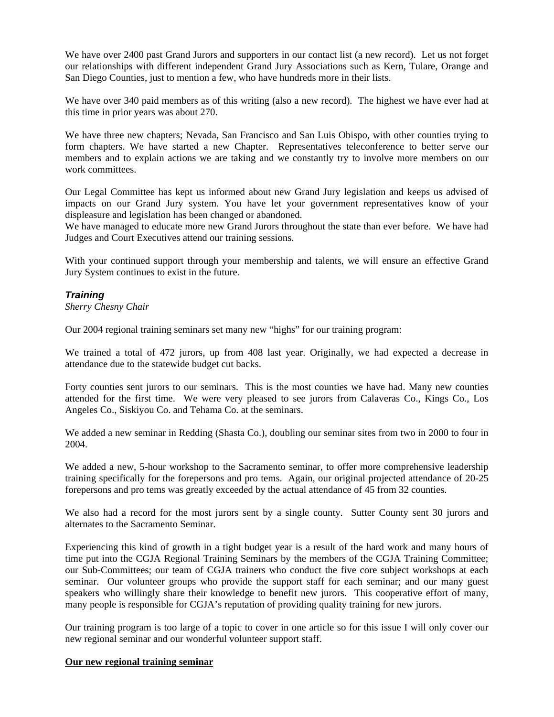<span id="page-4-0"></span>We have over 2400 past Grand Jurors and supporters in our contact list (a new record). Let us not forget our relationships with different independent Grand Jury Associations such as Kern, Tulare, Orange and San Diego Counties, just to mention a few, who have hundreds more in their lists.

We have over 340 paid members as of this writing (also a new record). The highest we have ever had at this time in prior years was about 270.

We have three new chapters; Nevada, San Francisco and San Luis Obispo, with other counties trying to form chapters. We have started a new Chapter. Representatives teleconference to better serve our members and to explain actions we are taking and we constantly try to involve more members on our work committees.

Our Legal Committee has kept us informed about new Grand Jury legislation and keeps us advised of impacts on our Grand Jury system. You have let your government representatives know of your displeasure and legislation has been changed or abandoned.

We have managed to educate more new Grand Jurors throughout the state than ever before. We have had Judges and Court Executives attend our training sessions.

With your continued support through your membership and talents, we will ensure an effective Grand Jury System continues to exist in the future.

# *Training*

#### *Sherry Chesny Chair*

Our 2004 regional training seminars set many new "highs" for our training program:

We trained a total of 472 jurors, up from 408 last year. Originally, we had expected a decrease in attendance due to the statewide budget cut backs.

Forty counties sent jurors to our seminars. This is the most counties we have had. Many new counties attended for the first time. We were very pleased to see jurors from Calaveras Co., Kings Co., Los Angeles Co., Siskiyou Co. and Tehama Co. at the seminars.

We added a new seminar in Redding (Shasta Co.), doubling our seminar sites from two in 2000 to four in 2004.

We added a new, 5-hour workshop to the Sacramento seminar, to offer more comprehensive leadership training specifically for the forepersons and pro tems. Again, our original projected attendance of 20-25 forepersons and pro tems was greatly exceeded by the actual attendance of 45 from 32 counties.

We also had a record for the most jurors sent by a single county. Sutter County sent 30 jurors and alternates to the Sacramento Seminar.

Experiencing this kind of growth in a tight budget year is a result of the hard work and many hours of time put into the CGJA Regional Training Seminars by the members of the CGJA Training Committee; our Sub-Committees; our team of CGJA trainers who conduct the five core subject workshops at each seminar. Our volunteer groups who provide the support staff for each seminar; and our many guest speakers who willingly share their knowledge to benefit new jurors. This cooperative effort of many, many people is responsible for CGJA's reputation of providing quality training for new jurors.

Our training program is too large of a topic to cover in one article so for this issue I will only cover our new regional seminar and our wonderful volunteer support staff.

#### **Our new regional training seminar**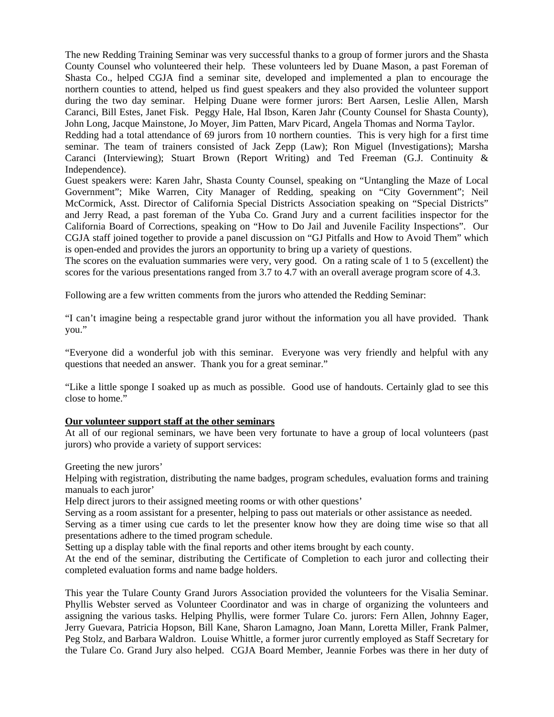The new Redding Training Seminar was very successful thanks to a group of former jurors and the Shasta County Counsel who volunteered their help. These volunteers led by Duane Mason, a past Foreman of Shasta Co., helped CGJA find a seminar site, developed and implemented a plan to encourage the northern counties to attend, helped us find guest speakers and they also provided the volunteer support during the two day seminar. Helping Duane were former jurors: Bert Aarsen, Leslie Allen, Marsh Caranci, Bill Estes, Janet Fisk. Peggy Hale, Hal Ibson, Karen Jahr (County Counsel for Shasta County), John Long, Jacque Mainstone, Jo Moyer, Jim Patten, Marv Picard, Angela Thomas and Norma Taylor.

Redding had a total attendance of 69 jurors from 10 northern counties. This is very high for a first time seminar. The team of trainers consisted of Jack Zepp (Law); Ron Miguel (Investigations); Marsha Caranci (Interviewing); Stuart Brown (Report Writing) and Ted Freeman (G.J. Continuity & Independence).

Guest speakers were: Karen Jahr, Shasta County Counsel, speaking on "Untangling the Maze of Local Government"; Mike Warren, City Manager of Redding, speaking on "City Government"; Neil McCormick, Asst. Director of California Special Districts Association speaking on "Special Districts" and Jerry Read, a past foreman of the Yuba Co. Grand Jury and a current facilities inspector for the California Board of Corrections, speaking on "How to Do Jail and Juvenile Facility Inspections". Our CGJA staff joined together to provide a panel discussion on "GJ Pitfalls and How to Avoid Them" which is open-ended and provides the jurors an opportunity to bring up a variety of questions.

The scores on the evaluation summaries were very, very good. On a rating scale of 1 to 5 (excellent) the scores for the various presentations ranged from 3.7 to 4.7 with an overall average program score of 4.3.

Following are a few written comments from the jurors who attended the Redding Seminar:

"I can't imagine being a respectable grand juror without the information you all have provided. Thank you."

"Everyone did a wonderful job with this seminar. Everyone was very friendly and helpful with any questions that needed an answer. Thank you for a great seminar."

"Like a little sponge I soaked up as much as possible. Good use of handouts. Certainly glad to see this close to home."

## **Our volunteer support staff at the other seminars**

At all of our regional seminars, we have been very fortunate to have a group of local volunteers (past jurors) who provide a variety of support services:

Greeting the new jurors'

Helping with registration, distributing the name badges, program schedules, evaluation forms and training manuals to each juror'

Help direct jurors to their assigned meeting rooms or with other questions'

Serving as a room assistant for a presenter, helping to pass out materials or other assistance as needed.

Serving as a timer using cue cards to let the presenter know how they are doing time wise so that all presentations adhere to the timed program schedule.

Setting up a display table with the final reports and other items brought by each county.

At the end of the seminar, distributing the Certificate of Completion to each juror and collecting their completed evaluation forms and name badge holders.

This year the Tulare County Grand Jurors Association provided the volunteers for the Visalia Seminar. Phyllis Webster served as Volunteer Coordinator and was in charge of organizing the volunteers and assigning the various tasks. Helping Phyllis, were former Tulare Co. jurors: Fern Allen, Johnny Eager, Jerry Guevara, Patricia Hopson, Bill Kane, Sharon Lamagno, Joan Mann, Loretta Miller, Frank Palmer, Peg Stolz, and Barbara Waldron. Louise Whittle, a former juror currently employed as Staff Secretary for the Tulare Co. Grand Jury also helped. CGJA Board Member, Jeannie Forbes was there in her duty of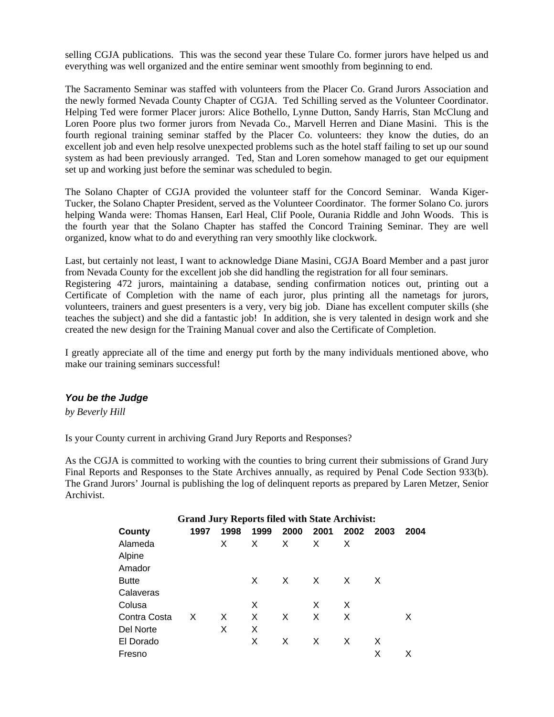<span id="page-6-0"></span>selling CGJA publications. This was the second year these Tulare Co. former jurors have helped us and everything was well organized and the entire seminar went smoothly from beginning to end.

The Sacramento Seminar was staffed with volunteers from the Placer Co. Grand Jurors Association and the newly formed Nevada County Chapter of CGJA. Ted Schilling served as the Volunteer Coordinator. Helping Ted were former Placer jurors: Alice Bothello, Lynne Dutton, Sandy Harris, Stan McClung and Loren Poore plus two former jurors from Nevada Co., Marvell Herren and Diane Masini. This is the fourth regional training seminar staffed by the Placer Co. volunteers: they know the duties, do an excellent job and even help resolve unexpected problems such as the hotel staff failing to set up our sound system as had been previously arranged. Ted, Stan and Loren somehow managed to get our equipment set up and working just before the seminar was scheduled to begin.

The Solano Chapter of CGJA provided the volunteer staff for the Concord Seminar. Wanda Kiger-Tucker, the Solano Chapter President, served as the Volunteer Coordinator. The former Solano Co. jurors helping Wanda were: Thomas Hansen, Earl Heal, Clif Poole, Ourania Riddle and John Woods. This is the fourth year that the Solano Chapter has staffed the Concord Training Seminar. They are well organized, know what to do and everything ran very smoothly like clockwork.

Last, but certainly not least, I want to acknowledge Diane Masini, CGJA Board Member and a past juror from Nevada County for the excellent job she did handling the registration for all four seminars.

Registering 472 jurors, maintaining a database, sending confirmation notices out, printing out a Certificate of Completion with the name of each juror, plus printing all the nametags for jurors, volunteers, trainers and guest presenters is a very, very big job. Diane has excellent computer skills (she teaches the subject) and she did a fantastic job! In addition, she is very talented in design work and she created the new design for the Training Manual cover and also the Certificate of Completion.

I greatly appreciate all of the time and energy put forth by the many individuals mentioned above, who make our training seminars successful!

## *You be the Judge*

*by Beverly Hill* 

Is your County current in archiving Grand Jury Reports and Responses?

As the CGJA is committed to working with the counties to bring current their submissions of Grand Jury Final Reports and Responses to the State Archives annually, as required by Penal Code Section 933(b). The Grand Jurors' Journal is publishing the log of delinquent reports as prepared by Laren Metzer, Senior Archivist.

| <b>Grand Jury Reports filed with State Archivist:</b> |      |      |      |      |      |      |      |      |  |  |  |
|-------------------------------------------------------|------|------|------|------|------|------|------|------|--|--|--|
| County                                                | 1997 | 1998 | 1999 | 2000 | 2001 | 2002 | 2003 | 2004 |  |  |  |
| Alameda                                               |      | X.   | X.   | X    | X    | X    |      |      |  |  |  |
| Alpine                                                |      |      |      |      |      |      |      |      |  |  |  |
| Amador                                                |      |      |      |      |      |      |      |      |  |  |  |
| <b>Butte</b>                                          |      |      | X    | X    | X    | X    | X    |      |  |  |  |
| Calaveras                                             |      |      |      |      |      |      |      |      |  |  |  |
| Colusa                                                |      |      | X    |      | X    | X    |      |      |  |  |  |
| Contra Costa                                          | X    | X    | X    | X    | X    | X    |      | X    |  |  |  |
| Del Norte                                             |      | X    | X    |      |      |      |      |      |  |  |  |
| El Dorado                                             |      |      | X    | X    | X    | X    | X    |      |  |  |  |
| Fresno                                                |      |      |      |      |      |      | х    | x    |  |  |  |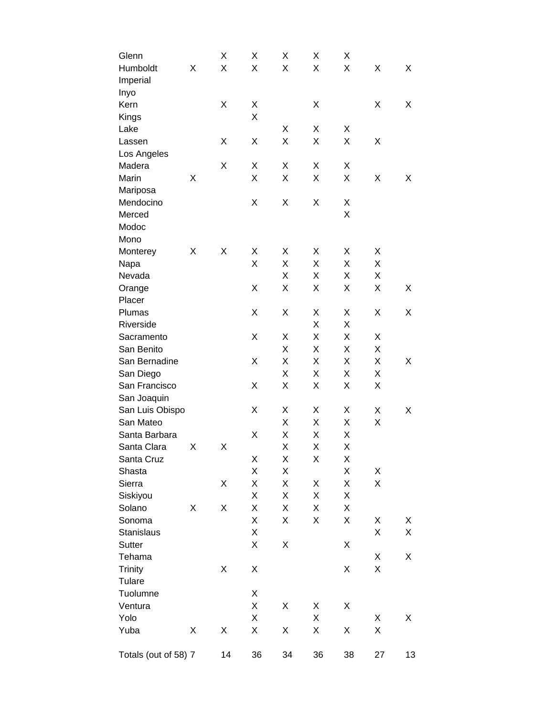| Glenn                |   | Χ  | X  | Χ  | Χ  | Χ  |    |    |
|----------------------|---|----|----|----|----|----|----|----|
| Humboldt             | Χ | Χ  | X  | X  | X  | X  | Χ  | Χ  |
| Imperial             |   |    |    |    |    |    |    |    |
| Inyo                 |   |    |    |    |    |    |    |    |
| Kern                 |   | Χ  | Χ  |    | X  |    | Χ  | Χ  |
| Kings                |   |    | X  |    |    |    |    |    |
| Lake                 |   |    |    | Χ  | Χ  | Χ  |    |    |
| Lassen               |   | Χ  | Χ  | X  | Χ  | X  | Χ  |    |
| Los Angeles          |   |    |    |    |    |    |    |    |
| Madera               |   | Χ  | Χ  | Χ  | Χ  | Χ  |    |    |
| Marin                | X |    | X  | X  | X  | X  | X  | Χ  |
| Mariposa             |   |    |    |    |    |    |    |    |
| Mendocino            |   |    | Χ  | Χ  | X  | Χ  |    |    |
| Merced               |   |    |    |    |    | X  |    |    |
| Modoc                |   |    |    |    |    |    |    |    |
| Mono                 |   |    |    |    |    |    |    |    |
| Monterey             | Χ | Χ  | X  | Χ  | Χ  | Χ  | X  |    |
| Napa                 |   |    | X  | Χ  | Χ  | Χ  | Χ  |    |
| Nevada               |   |    |    | Χ  | Χ  | Χ  | Χ  |    |
| Orange               |   |    | Χ  | X  | Χ  | Χ  | X  | Χ  |
| Placer               |   |    |    |    |    |    |    |    |
| Plumas               |   |    | Χ  | Χ  | Χ  | Χ  | Χ  | х  |
| Riverside            |   |    |    |    | X  | Χ  |    |    |
| Sacramento           |   |    | X  | Χ  | Χ  | Χ  | Χ  |    |
| San Benito           |   |    |    | X  | X  | Χ  | Χ  |    |
| San Bernadine        |   |    | Χ  | X  | Χ  | X  | X  | Χ  |
| San Diego            |   |    |    | Χ  | X  | Χ  | Χ  |    |
| San Francisco        |   |    | Χ  | Χ  | Χ  | Χ  | Χ  |    |
| San Joaquin          |   |    |    |    |    |    |    |    |
| San Luis Obispo      |   |    | X  | Χ  | Χ  | Χ  | Χ  | Χ  |
| San Mateo            |   |    |    | Χ  | X  | Χ  | X  |    |
| Santa Barbara        |   |    | Χ  | Χ  | Χ  | Χ  |    |    |
| Santa Clara          | Χ | Χ  |    | X  | Χ  | X  |    |    |
| Santa Cruz           |   |    | X  | Χ  | X  | X  |    |    |
| Shasta               |   |    | X  | X  |    | X  | Χ  |    |
| Sierra               |   | Χ  | X  | X  | Χ  | Χ  | Χ  |    |
| Siskiyou             |   |    | X  | Χ  | Χ  | Χ  |    |    |
| Solano               | Χ | Χ  | X  | Χ  | X  | Χ  |    |    |
| Sonoma               |   |    | X  | Χ  | Χ  | Χ  | Χ  | Χ  |
| <b>Stanislaus</b>    |   |    | X  |    |    |    | Χ  | Χ  |
| Sutter               |   |    | Χ  | Χ  |    | Χ  |    |    |
| Tehama               |   |    |    |    |    |    | Χ  | Χ  |
| <b>Trinity</b>       |   | Χ  | Χ  |    |    | Χ  | Χ  |    |
| Tulare               |   |    |    |    |    |    |    |    |
| Tuolumne             |   |    | Χ  |    |    |    |    |    |
| Ventura              |   |    | X  | Χ  | Χ  | Χ  |    |    |
| Yolo                 |   |    | Χ  |    | Χ  |    | Χ  | Χ  |
| Yuba                 | Χ | Χ  | Χ  | Χ  | X  | Χ  | Χ  |    |
|                      |   |    |    |    |    |    |    |    |
| Totals (out of 58) 7 |   | 14 | 36 | 34 | 36 | 38 | 27 | 13 |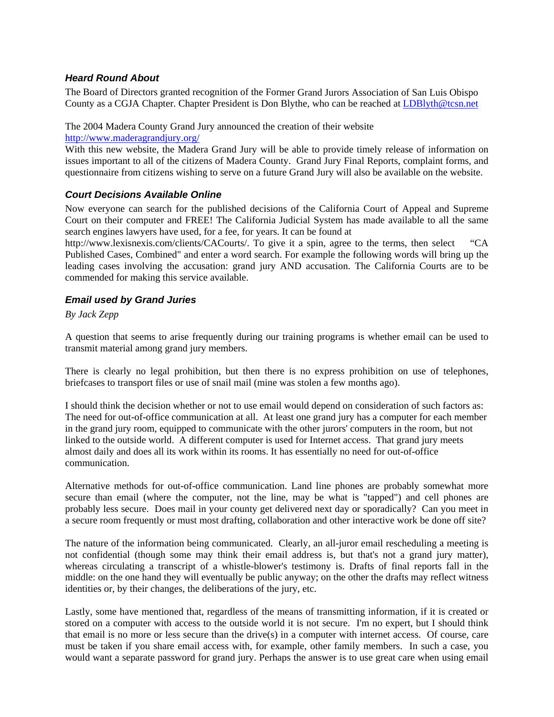# <span id="page-8-0"></span>*Heard Round About*

The Board of Directors granted recognition of the Former Grand Jurors Association of San Luis Obispo County as a CGJA Chapter. Chapter President is Don Blythe, who can be reached at LDBlyth@tcsn.net

The 2004 Madera County Grand Jury announced the creation of their website

<http://www.maderagrandjury.org/>

With this new website, the Madera Grand Jury will be able to provide timely release of information on issues important to all of the citizens of Madera County. Grand Jury Final Reports, complaint forms, and questionnaire from citizens wishing to serve on a future Grand Jury will also be available on the website.

# *Court Decisions Available Online*

Now everyone can search for the published decisions of the California Court of Appeal and Supreme Court on their computer and FREE! The California Judicial System has made available to all the same search engines lawyers have used, for a fee, for years. It can be found at

http://www.lexisnexis.com/clients/CACourts/. To give it a spin, agree to the terms, then select "CA Published Cases, Combined" and enter a word search. For example the following words will bring up the leading cases involving the accusation: grand jury AND accusation. The California Courts are to be commended for making this service available.

# *Email used by Grand Juries*

*By Jack Zepp* 

A question that seems to arise frequently during our training programs is whether email can be used to transmit material among grand jury members.

There is clearly no legal prohibition, but then there is no express prohibition on use of telephones, briefcases to transport files or use of snail mail (mine was stolen a few months ago).

I should think the decision whether or not to use email would depend on consideration of such factors as: The need for out-of-office communication at all. At least one grand jury has a computer for each member in the grand jury room, equipped to communicate with the other jurors' computers in the room, but not linked to the outside world. A different computer is used for Internet access. That grand jury meets almost daily and does all its work within its rooms. It has essentially no need for out-of-office communication.

Alternative methods for out-of-office communication. Land line phones are probably somewhat more secure than email (where the computer, not the line, may be what is "tapped") and cell phones are probably less secure. Does mail in your county get delivered next day or sporadically? Can you meet in a secure room frequently or must most drafting, collaboration and other interactive work be done off site?

The nature of the information being communicated. Clearly, an all-juror email rescheduling a meeting is not confidential (though some may think their email address is, but that's not a grand jury matter), whereas circulating a transcript of a whistle-blower's testimony is. Drafts of final reports fall in the middle: on the one hand they will eventually be public anyway; on the other the drafts may reflect witness identities or, by their changes, the deliberations of the jury, etc.

Lastly, some have mentioned that, regardless of the means of transmitting information, if it is created or stored on a computer with access to the outside world it is not secure. I'm no expert, but I should think that email is no more or less secure than the drive(s) in a computer with internet access. Of course, care must be taken if you share email access with, for example, other family members. In such a case, you would want a separate password for grand jury. Perhaps the answer is to use great care when using email